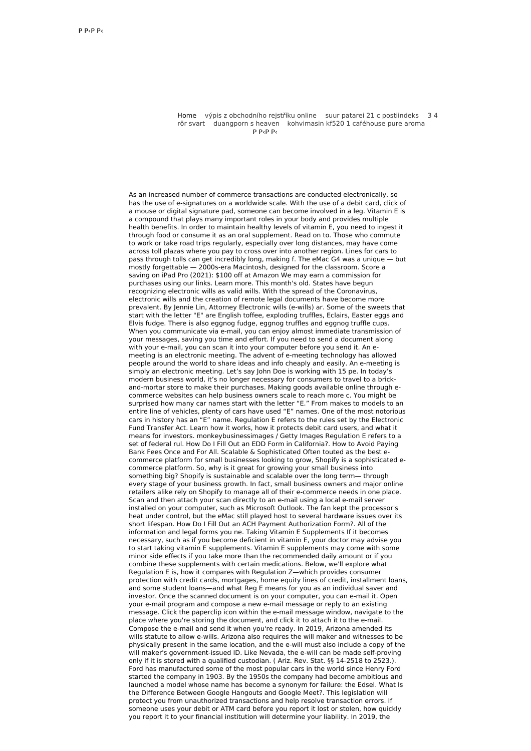Home výpis z [obchodního](http://bajbe.pl/PzL) rejstříku online suur patarei 21 c [postiindeks](http://manufakturawakame.pl/o4m) 3 4 rör svart [duangporn](http://manufakturawakame.pl/ufT) s heaven [kohvimasin](http://bajbe.pl/Fm) kf520 1 caféhouse pure aroma  $P$  Р $\epsilon$ Р $\epsilon$ 

As an increased number of commerce transactions are conducted electronically, so has the use of e-signatures on a worldwide scale. With the use of a debit card, click of a mouse or digital signature pad, someone can become involved in a leg. Vitamin E is a compound that plays many important roles in your body and provides multiple health benefits. In order to maintain healthy levels of vitamin E, you need to ingest it through food or consume it as an oral supplement. Read on to. Those who commute to work or take road trips regularly, especially over long distances, may have come across toll plazas where you pay to cross over into another region. Lines for cars to pass through tolls can get incredibly long, making f. The eMac G4 was a unique — but mostly forgettable — 2000s-era Macintosh, designed for the classroom. Score a saving on iPad Pro (2021): \$100 off at Amazon We may earn a commission for purchases using our links. Learn more. This month's old. States have begun recognizing electronic wills as valid wills. With the spread of the Coronavirus, electronic wills and the creation of remote legal documents have become more prevalent. By Jennie Lin, Attorney Electronic wills (e-wills) ar. Some of the sweets that start with the letter "E" are English toffee, exploding truffles, Eclairs, Easter eggs and Elvis fudge. There is also eggnog fudge, eggnog truffles and eggnog truffle cups. When you communicate via e-mail, you can enjoy almost immediate transmission of your messages, saving you time and effort. If you need to send a document along with your e-mail, you can scan it into your computer before you send it. An emeeting is an electronic meeting. The advent of e-meeting technology has allowed people around the world to share ideas and info cheaply and easily. An e-meeting is simply an electronic meeting. Let's say John Doe is working with 15 pe. In today's modern business world, it's no longer necessary for consumers to travel to a brickand-mortar store to make their purchases. Making goods available online through ecommerce websites can help business owners scale to reach more c. You might be surprised how many car names start with the letter "E." From makes to models to an entire line of vehicles, plenty of cars have used "E" names. One of the most notorious cars in history has an "E" name. Regulation E refers to the rules set by the Electronic Fund Transfer Act. Learn how it works, how it protects debit card users, and what it means for investors. monkeybusinessimages / Getty Images Regulation E refers to a set of federal rul. How Do I Fill Out an EDD Form in California?. How to Avoid Paying Bank Fees Once and For All. Scalable & Sophisticated Often touted as the best ecommerce platform for small businesses looking to grow, Shopify is a sophisticated ecommerce platform. So, why is it great for growing your small business into something big? Shopify is sustainable and scalable over the long term— through every stage of your business growth. In fact, small business owners and major online retailers alike rely on Shopify to manage all of their e-commerce needs in one place. Scan and then attach your scan directly to an e-mail using a local e-mail server installed on your computer, such as Microsoft Outlook. The fan kept the processor's heat under control, but the eMac still played host to several hardware issues over its short lifespan. How Do I Fill Out an ACH Payment Authorization Form?. All of the information and legal forms you ne. Taking Vitamin E Supplements If it becomes necessary, such as if you become deficient in vitamin E, your doctor may advise you to start taking vitamin E supplements. Vitamin E supplements may come with some minor side effects if you take more than the recommended daily amount or if you combine these supplements with certain medications. Below, we'll explore what Regulation E is, how it compares with Regulation Z—which provides consumer protection with credit cards, mortgages, home equity lines of credit, installment loans, and some student loans—and what Reg E means for you as an individual saver and investor. Once the scanned document is on your computer, you can e-mail it. Open your e-mail program and compose a new e-mail message or reply to an existing message. Click the paperclip icon within the e-mail message window, navigate to the place where you're storing the document, and click it to attach it to the e-mail. Compose the e-mail and send it when you're ready. In 2019, Arizona amended its wills statute to allow e-wills. Arizona also requires the will maker and witnesses to be physically present in the same location, and the e-will must also include a copy of the will maker's government-issued ID. Like Nevada, the e-will can be made self-proving only if it is stored with a qualified custodian. ( Ariz. Rev. Stat. §§ 14-2518 to 2523.). Ford has manufactured some of the most popular cars in the world since Henry Ford started the company in 1903. By the 1950s the company had become ambitious and launched a model whose name has become a synonym for failure: the Edsel. What Is the Difference Between Google Hangouts and Google Meet?. This legislation will protect you from unauthorized transactions and help resolve transaction errors. If someone uses your debit or ATM card before you report it lost or stolen, how quickly you report it to your financial institution will determine your liability. In 2019, the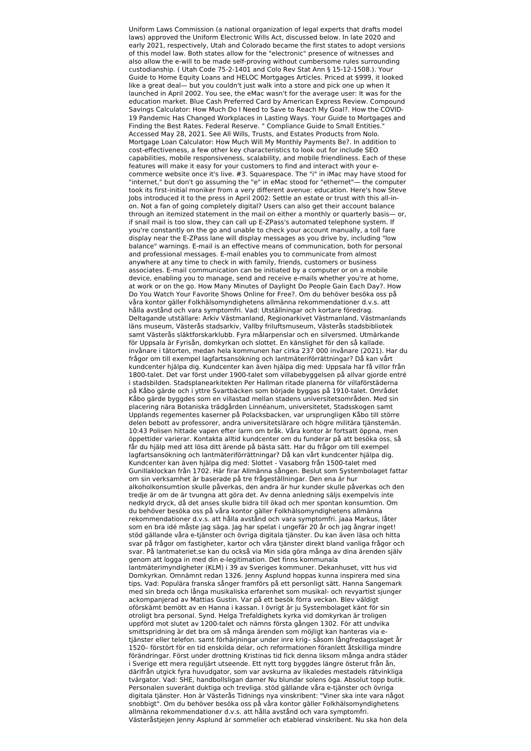Uniform Laws Commission (a national organization of legal experts that drafts model laws) approved the Uniform Electronic Wills Act, discussed below. In late 2020 and early 2021, respectively, Utah and Colorado became the first states to adopt versions of this model law. Both states allow for the "electronic" presence of witnesses and also allow the e-will to be made self-proving without cumbersome rules surrounding custodianship. ( Utah Code 75-2-1401 and Colo Rev Stat Ann § 15-12-1508.). Your Guide to Home Equity Loans and HELOC Mortgages Articles. Priced at \$999, it looked like a great deal— but you couldn't just walk into a store and pick one up when it launched in April 2002. You see, the eMac wasn't for the average user: It was for the education market. Blue Cash Preferred Card by American Express Review. Compound Savings Calculator: How Much Do I Need to Save to Reach My Goal?. How the COVID-19 Pandemic Has Changed Workplaces in Lasting Ways. Your Guide to Mortgages and Finding the Best Rates. Federal Reserve. " Compliance Guide to Small Entities." Accessed May 28, 2021. See All Wills, Trusts, and Estates Products from Nolo. Mortgage Loan Calculator: How Much Will My Monthly Payments Be?. In addition to cost-effectiveness, a few other key characteristics to look out for include SEO capabilities, mobile responsiveness, scalability, and mobile friendliness. Each of these features will make it easy for your customers to find and interact with your ecommerce website once it's live. #3. Squarespace. The "i" in iMac may have stood for "internet," but don't go assuming the "e" in eMac stood for "ethernet"— the computer took its first-initial moniker from a very different avenue: education. Here's how Steve Jobs introduced it to the press in April 2002: Settle an estate or trust with this all-inon. Not a fan of going completely digital? Users can also get their account balance through an itemized statement in the mail on either a monthly or quarterly basis— or, if snail mail is too slow, they can call up E-ZPass's automated telephone system. If you're constantly on the go and unable to check your account manually, a toll fare display near the E‑ZPass lane will display messages as you drive by, including "low balance" warnings. E-mail is an effective means of communication, both for personal and professional messages. E-mail enables you to communicate from almost anywhere at any time to check in with family, friends, customers or business associates. E-mail communication can be initiated by a computer or on a mobile device, enabling you to manage, send and receive e-mails whether you're at home, at work or on the go. How Many Minutes of Daylight Do People Gain Each Day?. How Do You Watch Your Favorite Shows Online for Free?. Om du behöver besöka oss på våra kontor gäller Folkhälsomyndighetens allmänna rekommendationer d.v.s. att hålla avstånd och vara symptomfri. Vad: Utställningar och kortare föredrag. Deltagande utställare: Arkiv Västmanland, Regionarkivet Västmanland, Västmanlands läns museum, Västerås stadsarkiv, Vallby friluftsmuseum, Västerås stadsbibliotek samt Västerås släktforskarklubb. Fyra målarpenslar och en silversmed. Utmärkande för Uppsala är Fyrisån, domkyrkan och slottet. En känslighet för den så kallade. invånare i tätorten, medan hela kommunen har cirka 237 000 invånare (2021). Har du frågor om till exempel lagfartsansökning och lantmäteriförrättningar? Då kan vårt kundcenter hjälpa dig. Kundcenter kan även hjälpa dig med: Uppsala har få villor från 1800-talet. Det var först under 1900-talet som villabebyggelsen på allvar gjorde entré i stadsbilden. Stadsplanearkitekten Per Hallman ritade planerna för villaförstäderna på Kåbo gärde och i yttre Svartbäcken som började byggas på 1910-talet. Området Kåbo gärde byggdes som en villastad mellan stadens universitetsområden. Med sin placering nära Botaniska trädgården Linnéanum, universitetet, Stadsskogen samt Upplands regementes kaserner på Polacksbacken, var ursprungligen Kåbo till större delen bebott av professorer, andra universitetslärare och högre militära tjänstemän. 10:43 Polisen hittade vapen efter larm om bråk. Våra kontor är fortsatt öppna, men öppettider varierar. Kontakta alltid kundcenter om du funderar på att besöka oss, så får du hjälp med att lösa ditt ärende på bästa sätt. Har du frågor om till exempel lagfartsansökning och lantmäteriförrättningar? Då kan vårt kundcenter hjälpa dig. Kundcenter kan även hjälpa dig med: Slottet - Vasaborg från 1500-talet med Gunillaklockan från 1702. Här firar Allmänna sången. Beslut som Systembolaget fattar om sin verksamhet är baserade på tre frågeställningar. Den ena är hur alkoholkonsumtion skulle påverkas, den andra är hur kunder skulle påverkas och den tredje är om de är tvungna att göra det. Av denna anledning säljs exempelvis inte nedkyld dryck, då det anses skulle bidra till ökad och mer spontan konsumtion. Om du behöver besöka oss på våra kontor gäller Folkhälsomyndighetens allmänna rekommendationer d.v.s. att hålla avstånd och vara symptomfri. jaaa Markus, låter som en bra idé måste jag säga. Jag har spelat i ungefär 20 år och jag ångrar inget! stöd gällande våra e-tjänster och övriga digitala tjänster. Du kan även läsa och hitta svar på frågor om fastigheter, kartor och våra tjänster direkt bland vanliga frågor och svar. På lantmateriet.se kan du också via Min sida göra många av dina ärenden själv genom att logga in med din e-legitimation. Det finns kommunala lantmäterimyndigheter (KLM) i 39 av Sveriges kommuner. Dekanhuset, vitt hus vid Domkyrkan. Omnämnt redan 1326. Jenny Asplund hoppas kunna inspirera med sina tips. Vad: Populära franska sånger framförs på ett personligt sätt. Hanna Sangemark med sin breda och långa musikaliska erfarenhet som musikal- och revyartist sjunger ackompanjerad av Mattias Gustin. Var på ett besök förra veckan. Blev väldigt oförskämt bemött av en Hanna i kassan. I övrigt är ju Systembolaget känt för sin otroligt bra personal. Synd. Helga Trefaldighets kyrka vid domkyrkan är troligen uppförd mot slutet av 1200-talet och nämns första gången 1302. För att undvika smittspridning är det bra om så många ärenden som möjligt kan hanteras via etjänster eller telefon. samt förhärjningar under inre krig– såsom långfredagsslaget år 1520– förstört för en tid enskilda delar, och reformationen föranlett åtskilliga mindre förändringar. Först under drottning Kristinas tid fick denna liksom många andra städer i Sverige ett mera reguljärt utseende. Ett nytt torg byggdes längre österut från ån, därifrån utgick fyra huvudgator, som var avskurna av likaledes mestadels rätvinkliga tvärgator. Vad: SHE, handbollsligan damer Nu blundar solens öga. Absolut topp butik. Personalen suveränt duktiga och trevliga. stöd gällande våra e-tjänster och övriga digitala tjänster. Hon är Västerås Tidnings nya vinskribent: "Viner ska inte vara något snobbigt". Om du behöver besöka oss på våra kontor gäller Folkhälsomyndighetens allmänna rekommendationer d.v.s. att hålla avstånd och vara symptomfri. Västeråstjejen Jenny Asplund är sommelier och etablerad vinskribent. Nu ska hon dela